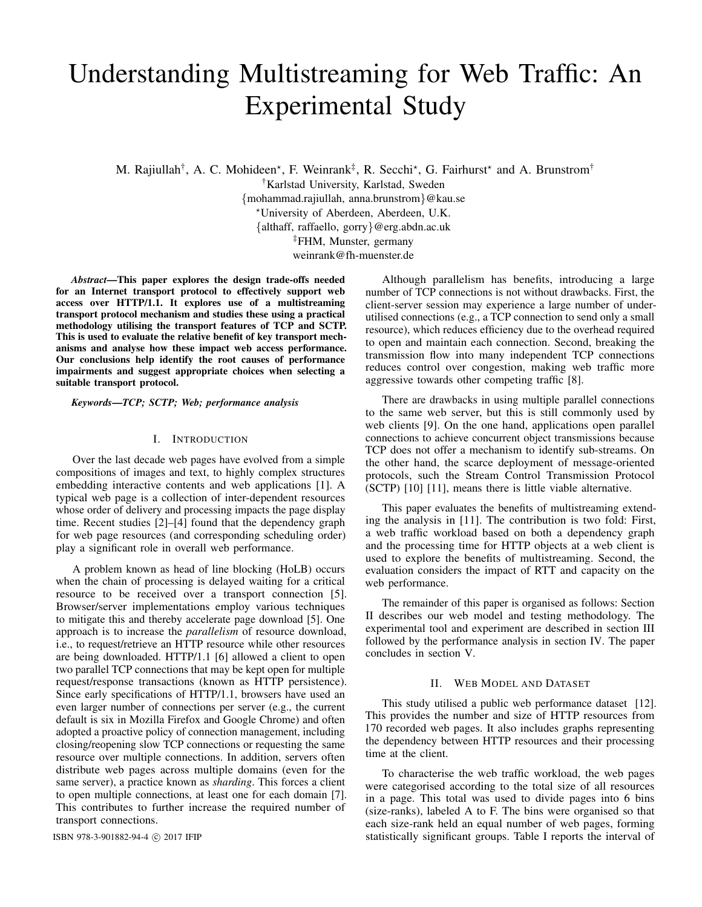# Understanding Multistreaming for Web Traffic: An Experimental Study

M. Rajiullah<sup>†</sup>, A. C. Mohideen\*, F. Weinrank<sup>‡</sup>, R. Secchi\*, G. Fairhurst\* and A. Brunstrom<sup>†</sup>

†Karlstad University, Karlstad, Sweden {mohammad.rajiullah, anna.brunstrom}@kau.se ?University of Aberdeen, Aberdeen, U.K. {althaff, raffaello, gorry}@erg.abdn.ac.uk ‡FHM, Munster, germany weinrank@fh-muenster.de

*Abstract*—This paper explores the design trade-offs needed for an Internet transport protocol to effectively support web access over HTTP/1.1. It explores use of a multistreaming transport protocol mechanism and studies these using a practical methodology utilising the transport features of TCP and SCTP. This is used to evaluate the relative benefit of key transport mechanisms and analyse how these impact web access performance. Our conclusions help identify the root causes of performance impairments and suggest appropriate choices when selecting a suitable transport protocol.

*Keywords*—*TCP; SCTP; Web; performance analysis*

# I. INTRODUCTION

Over the last decade web pages have evolved from a simple compositions of images and text, to highly complex structures embedding interactive contents and web applications [1]. A typical web page is a collection of inter-dependent resources whose order of delivery and processing impacts the page display time. Recent studies [2]–[4] found that the dependency graph for web page resources (and corresponding scheduling order) play a significant role in overall web performance.

A problem known as head of line blocking (HoLB) occurs when the chain of processing is delayed waiting for a critical resource to be received over a transport connection [5]. Browser/server implementations employ various techniques to mitigate this and thereby accelerate page download [5]. One approach is to increase the *parallelism* of resource download, i.e., to request/retrieve an HTTP resource while other resources are being downloaded. HTTP/1.1 [6] allowed a client to open two parallel TCP connections that may be kept open for multiple request/response transactions (known as HTTP persistence). Since early specifications of HTTP/1.1, browsers have used an even larger number of connections per server (e.g., the current default is six in Mozilla Firefox and Google Chrome) and often adopted a proactive policy of connection management, including closing/reopening slow TCP connections or requesting the same resource over multiple connections. In addition, servers often distribute web pages across multiple domains (even for the same server), a practice known as *sharding*. This forces a client to open multiple connections, at least one for each domain [7]. This contributes to further increase the required number of transport connections.

Although parallelism has benefits, introducing a large number of TCP connections is not without drawbacks. First, the client-server session may experience a large number of underutilised connections (e.g., a TCP connection to send only a small resource), which reduces efficiency due to the overhead required to open and maintain each connection. Second, breaking the transmission flow into many independent TCP connections reduces control over congestion, making web traffic more aggressive towards other competing traffic [8].

There are drawbacks in using multiple parallel connections to the same web server, but this is still commonly used by web clients [9]. On the one hand, applications open parallel connections to achieve concurrent object transmissions because TCP does not offer a mechanism to identify sub-streams. On the other hand, the scarce deployment of message-oriented protocols, such the Stream Control Transmission Protocol (SCTP) [10] [11], means there is little viable alternative.

This paper evaluates the benefits of multistreaming extending the analysis in [11]. The contribution is two fold: First, a web traffic workload based on both a dependency graph and the processing time for HTTP objects at a web client is used to explore the benefits of multistreaming. Second, the evaluation considers the impact of RTT and capacity on the web performance.

The remainder of this paper is organised as follows: Section II describes our web model and testing methodology. The experimental tool and experiment are described in section III followed by the performance analysis in section IV. The paper concludes in section V.

# II. WEB MODEL AND DATASET

This study utilised a public web performance dataset [12]. This provides the number and size of HTTP resources from 170 recorded web pages. It also includes graphs representing the dependency between HTTP resources and their processing time at the client.

To characterise the web traffic workload, the web pages were categorised according to the total size of all resources in a page. This total was used to divide pages into 6 bins (size-ranks), labeled A to F. The bins were organised so that each size-rank held an equal number of web pages, forming ISBN 978-3-901882-94-4 © 2017 IFIP statistically significant groups. Table I reports the interval of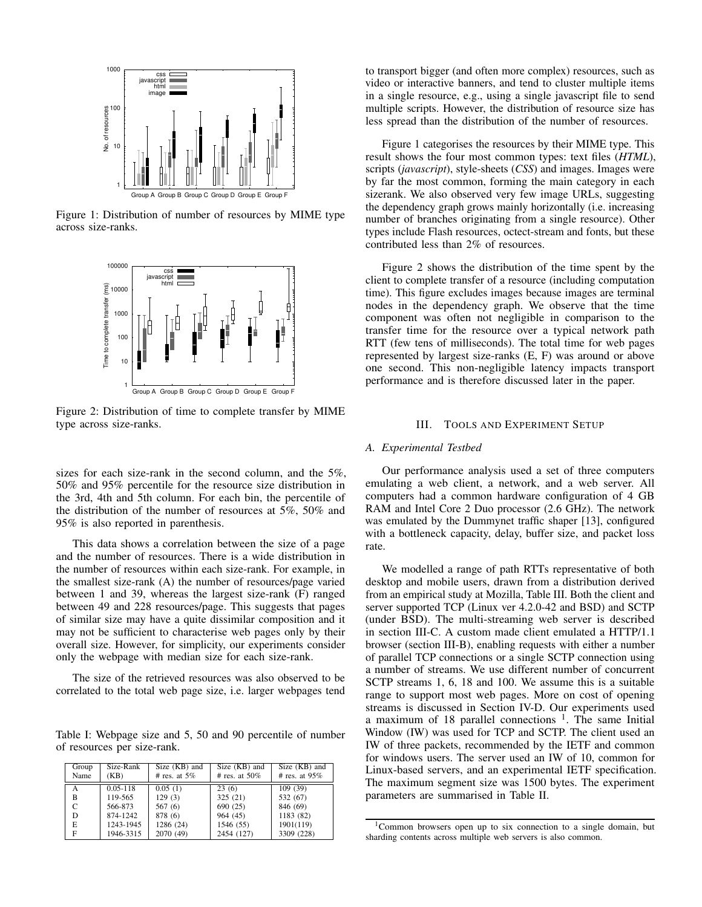

Figure 1: Distribution of number of resources by MIME type across size-ranks.



Figure 2: Distribution of time to complete transfer by MIME type across size-ranks.

sizes for each size-rank in the second column, and the 5%, 50% and 95% percentile for the resource size distribution in the 3rd, 4th and 5th column. For each bin, the percentile of the distribution of the number of resources at 5%, 50% and 95% is also reported in parenthesis.

This data shows a correlation between the size of a page and the number of resources. There is a wide distribution in the number of resources within each size-rank. For example, in the smallest size-rank (A) the number of resources/page varied between 1 and 39, whereas the largest size-rank (F) ranged between 49 and 228 resources/page. This suggests that pages of similar size may have a quite dissimilar composition and it may not be sufficient to characterise web pages only by their overall size. However, for simplicity, our experiments consider only the webpage with median size for each size-rank.

The size of the retrieved resources was also observed to be correlated to the total web page size, i.e. larger webpages tend

Table I: Webpage size and 5, 50 and 90 percentile of number of resources per size-rank.

| Group<br>Name | Size-Rank<br>(KB) | Size (KB) and<br># res. at $5\%$ | Size (KB) and<br># res. at $50\%$ | Size (KB) and<br># res. at $95\%$ |
|---------------|-------------------|----------------------------------|-----------------------------------|-----------------------------------|
| A             | $0.05 - 118$      | 0.05(1)                          | 23(6)                             | 109(39)                           |
| B             | 119-565           | 129(3)                           | 325(21)                           | 532 (67)                          |
| C             | 566-873           | 567 (6)                          | 690 (25)                          | 846 (69)                          |
| D             | 874-1242          | 878 (6)                          | 964 (45)                          | 1183 (82)                         |
| E             | 1243-1945         | 1286 (24)                        | 1546 (55)                         | 1901(119)                         |
| F             | 1946-3315         | 2070 (49)                        | 2454 (127)                        | 3309 (228)                        |

to transport bigger (and often more complex) resources, such as video or interactive banners, and tend to cluster multiple items in a single resource, e.g., using a single javascript file to send multiple scripts. However, the distribution of resource size has less spread than the distribution of the number of resources.

Figure 1 categorises the resources by their MIME type. This result shows the four most common types: text files (*HTML*), scripts (*javascript*), style-sheets (*CSS*) and images. Images were by far the most common, forming the main category in each sizerank. We also observed very few image URLs, suggesting the dependency graph grows mainly horizontally (i.e. increasing number of branches originating from a single resource). Other types include Flash resources, octect-stream and fonts, but these contributed less than 2% of resources.

Figure 2 shows the distribution of the time spent by the client to complete transfer of a resource (including computation time). This figure excludes images because images are terminal nodes in the dependency graph. We observe that the time component was often not negligible in comparison to the transfer time for the resource over a typical network path RTT (few tens of milliseconds). The total time for web pages represented by largest size-ranks (E, F) was around or above one second. This non-negligible latency impacts transport performance and is therefore discussed later in the paper.

## III. TOOLS AND EXPERIMENT SETUP

# *A. Experimental Testbed*

Our performance analysis used a set of three computers emulating a web client, a network, and a web server. All computers had a common hardware configuration of 4 GB RAM and Intel Core 2 Duo processor (2.6 GHz). The network was emulated by the Dummynet traffic shaper [13], configured with a bottleneck capacity, delay, buffer size, and packet loss rate.

We modelled a range of path RTTs representative of both desktop and mobile users, drawn from a distribution derived from an empirical study at Mozilla, Table III. Both the client and server supported TCP (Linux ver 4.2.0-42 and BSD) and SCTP (under BSD). The multi-streaming web server is described in section III-C. A custom made client emulated a HTTP/1.1 browser (section III-B), enabling requests with either a number of parallel TCP connections or a single SCTP connection using a number of streams. We use different number of concurrent SCTP streams 1, 6, 18 and 100. We assume this is a suitable range to support most web pages. More on cost of opening streams is discussed in Section IV-D. Our experiments used a maximum of 18 parallel connections <sup>1</sup>. The same Initial Window (IW) was used for TCP and SCTP. The client used an IW of three packets, recommended by the IETF and common for windows users. The server used an IW of 10, common for Linux-based servers, and an experimental IETF specification. The maximum segment size was 1500 bytes. The experiment parameters are summarised in Table II.

<sup>1</sup>Common browsers open up to six connection to a single domain, but sharding contents across multiple web servers is also common.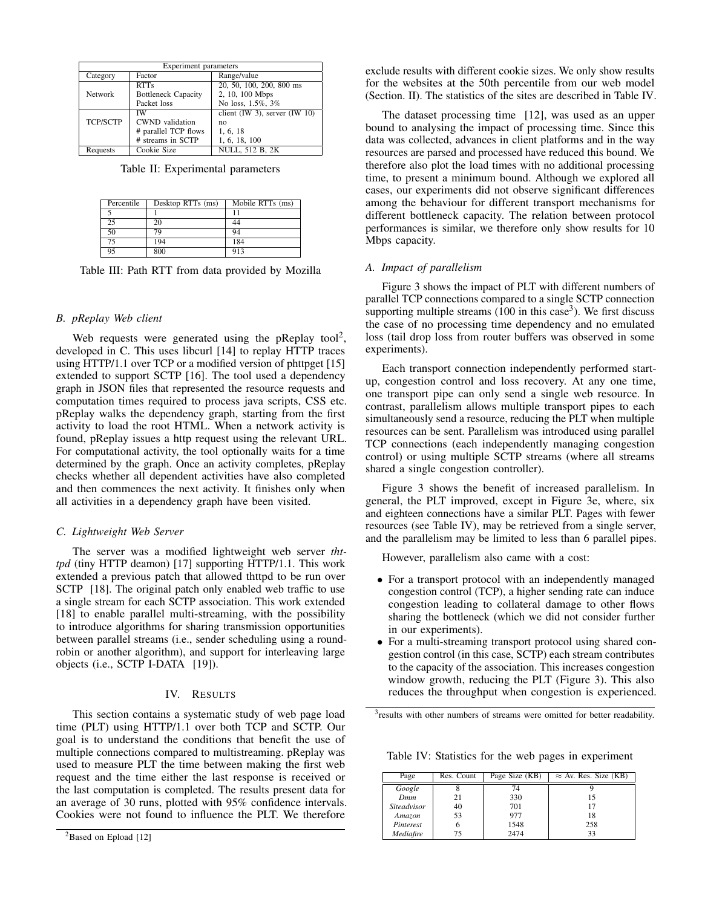| <b>Experiment parameters</b> |                            |                                    |  |  |  |
|------------------------------|----------------------------|------------------------------------|--|--|--|
| Category                     | Factor                     | Range/value                        |  |  |  |
|                              | <b>RTTs</b>                | 20, 50, 100, 200, 800 ms           |  |  |  |
| <b>Network</b>               | <b>Bottleneck Capacity</b> | 2, 10, 100 Mbps                    |  |  |  |
|                              | Packet loss                | No loss, 1.5%, 3%                  |  |  |  |
|                              | ΙW                         | client $(IW 3)$ , server $(IW 10)$ |  |  |  |
| <b>TCP/SCTP</b>              | <b>CWND</b> validation     | no                                 |  |  |  |
|                              | # parallel TCP flows       | 1, 6, 18                           |  |  |  |
|                              | # streams in SCTP          | 1, 6, 18, 100                      |  |  |  |
| Requests                     | Cookie Size                | <b>NULL, 512 B, 2K</b>             |  |  |  |

Table II: Experimental parameters

| Percentile | Desktop RTTs (ms) | Mobile RTTs (ms) |
|------------|-------------------|------------------|
|            |                   | 11               |
| 25         | 20                | 44               |
| 50         | 79                | 94               |
| 75         | 194               | 184              |
| 95         | 800               | 913              |

Table III: Path RTT from data provided by Mozilla

# *B. pReplay Web client*

Web requests were generated using the pReplay tool<sup>2</sup>, developed in C. This uses libcurl [14] to replay HTTP traces using HTTP/1.1 over TCP or a modified version of phttpget [15] extended to support SCTP [16]. The tool used a dependency graph in JSON files that represented the resource requests and computation times required to process java scripts, CSS etc. pReplay walks the dependency graph, starting from the first activity to load the root HTML. When a network activity is found, pReplay issues a http request using the relevant URL. For computational activity, the tool optionally waits for a time determined by the graph. Once an activity completes, pReplay checks whether all dependent activities have also completed and then commences the next activity. It finishes only when all activities in a dependency graph have been visited.

## *C. Lightweight Web Server*

The server was a modified lightweight web server *thttpd* (tiny HTTP deamon) [17] supporting HTTP/1.1. This work extended a previous patch that allowed thttpd to be run over SCTP [18]. The original patch only enabled web traffic to use a single stream for each SCTP association. This work extended [18] to enable parallel multi-streaming, with the possibility to introduce algorithms for sharing transmission opportunities between parallel streams (i.e., sender scheduling using a roundrobin or another algorithm), and support for interleaving large objects (i.e., SCTP I-DATA [19]).

## IV. RESULTS

This section contains a systematic study of web page load time (PLT) using HTTP/1.1 over both TCP and SCTP. Our goal is to understand the conditions that benefit the use of multiple connections compared to multistreaming. pReplay was used to measure PLT the time between making the first web request and the time either the last response is received or the last computation is completed. The results present data for an average of 30 runs, plotted with 95% confidence intervals. Cookies were not found to influence the PLT. We therefore

exclude results with different cookie sizes. We only show results for the websites at the 50th percentile from our web model (Section. II). The statistics of the sites are described in Table IV.

The dataset processing time [12], was used as an upper bound to analysing the impact of processing time. Since this data was collected, advances in client platforms and in the way resources are parsed and processed have reduced this bound. We therefore also plot the load times with no additional processing time, to present a minimum bound. Although we explored all cases, our experiments did not observe significant differences among the behaviour for different transport mechanisms for different bottleneck capacity. The relation between protocol performances is similar, we therefore only show results for 10 Mbps capacity.

## *A. Impact of parallelism*

Figure 3 shows the impact of PLT with different numbers of parallel TCP connections compared to a single SCTP connection supporting multiple streams  $(100 \text{ in this case}^3)$ . We first discuss the case of no processing time dependency and no emulated loss (tail drop loss from router buffers was observed in some experiments).

Each transport connection independently performed startup, congestion control and loss recovery. At any one time, one transport pipe can only send a single web resource. In contrast, parallelism allows multiple transport pipes to each simultaneously send a resource, reducing the PLT when multiple resources can be sent. Parallelism was introduced using parallel TCP connections (each independently managing congestion control) or using multiple SCTP streams (where all streams shared a single congestion controller).

Figure 3 shows the benefit of increased parallelism. In general, the PLT improved, except in Figure 3e, where, six and eighteen connections have a similar PLT. Pages with fewer resources (see Table IV), may be retrieved from a single server, and the parallelism may be limited to less than 6 parallel pipes.

However, parallelism also came with a cost:

- For a transport protocol with an independently managed congestion control (TCP), a higher sending rate can induce congestion leading to collateral damage to other flows sharing the bottleneck (which we did not consider further in our experiments).
- For a multi-streaming transport protocol using shared congestion control (in this case, SCTP) each stream contributes to the capacity of the association. This increases congestion window growth, reducing the PLT (Figure 3). This also reduces the throughput when congestion is experienced.

<sup>3</sup> results with other numbers of streams were omitted for better readability.

Table IV: Statistics for the web pages in experiment

| Page               | Res. Count | Page Size (KB) | $\approx$ Av. Res. Size (KB) |
|--------------------|------------|----------------|------------------------------|
| Google             |            | 74             |                              |
| <b>Dmm</b>         | 21         | 330            | 15                           |
| <i>Siteadvisor</i> | 40         | 701            | 17                           |
| Amazon             | 53         | 977            | 18                           |
| Pinterest          |            | 1548           | 258                          |
| Mediafire          |            | 2474           | 33                           |

<sup>&</sup>lt;sup>2</sup>Based on Epload [12]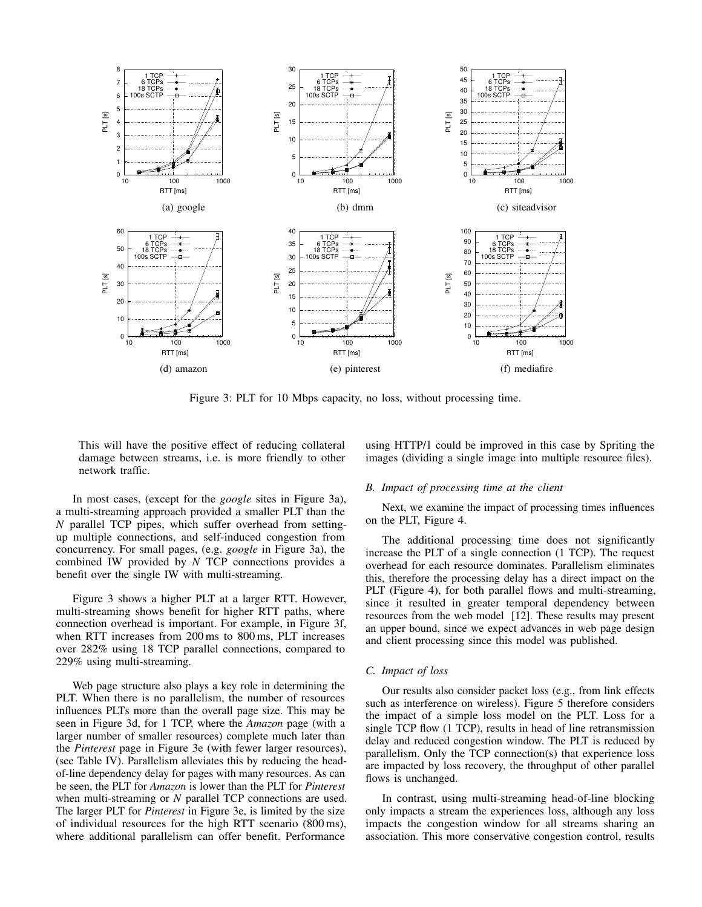

Figure 3: PLT for 10 Mbps capacity, no loss, without processing time.

This will have the positive effect of reducing collateral damage between streams, i.e. is more friendly to other network traffic.

In most cases, (except for the *google* sites in Figure 3a), a multi-streaming approach provided a smaller PLT than the *N* parallel TCP pipes, which suffer overhead from settingup multiple connections, and self-induced congestion from concurrency. For small pages, (e.g. *google* in Figure 3a), the combined IW provided by *N* TCP connections provides a benefit over the single IW with multi-streaming.

Figure 3 shows a higher PLT at a larger RTT. However, multi-streaming shows benefit for higher RTT paths, where connection overhead is important. For example, in Figure 3f, when RTT increases from 200 ms to 800 ms, PLT increases over 282% using 18 TCP parallel connections, compared to 229% using multi-streaming.

Web page structure also plays a key role in determining the PLT. When there is no parallelism, the number of resources influences PLTs more than the overall page size. This may be seen in Figure 3d, for 1 TCP, where the *Amazon* page (with a larger number of smaller resources) complete much later than the *Pinterest* page in Figure 3e (with fewer larger resources), (see Table IV). Parallelism alleviates this by reducing the headof-line dependency delay for pages with many resources. As can be seen, the PLT for *Amazon* is lower than the PLT for *Pinterest* when multi-streaming or *N* parallel TCP connections are used. The larger PLT for *Pinterest* in Figure 3e, is limited by the size of individual resources for the high RTT scenario (800 ms), where additional parallelism can offer benefit. Performance

using HTTP/1 could be improved in this case by Spriting the images (dividing a single image into multiple resource files).

#### *B. Impact of processing time at the client*

Next, we examine the impact of processing times influences on the PLT, Figure 4.

The additional processing time does not significantly increase the PLT of a single connection (1 TCP). The request overhead for each resource dominates. Parallelism eliminates this, therefore the processing delay has a direct impact on the PLT (Figure 4), for both parallel flows and multi-streaming, since it resulted in greater temporal dependency between resources from the web model [12]. These results may present an upper bound, since we expect advances in web page design and client processing since this model was published.

## *C. Impact of loss*

Our results also consider packet loss (e.g., from link effects such as interference on wireless). Figure 5 therefore considers the impact of a simple loss model on the PLT. Loss for a single TCP flow (1 TCP), results in head of line retransmission delay and reduced congestion window. The PLT is reduced by parallelism. Only the TCP connection(s) that experience loss are impacted by loss recovery, the throughput of other parallel flows is unchanged.

In contrast, using multi-streaming head-of-line blocking only impacts a stream the experiences loss, although any loss impacts the congestion window for all streams sharing an association. This more conservative congestion control, results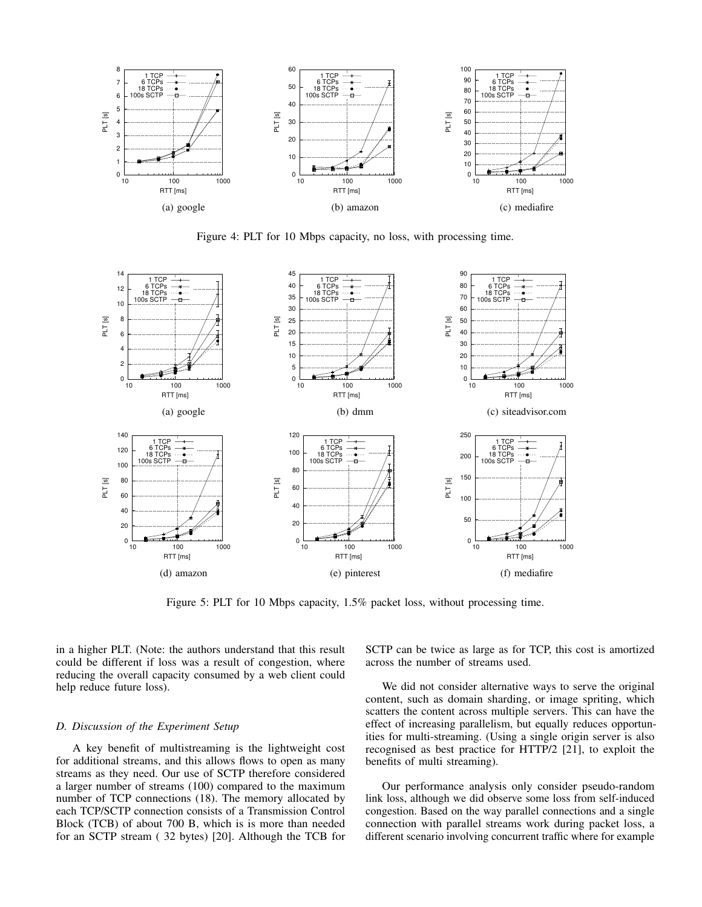

Figure 4: PLT for 10 Mbps capacity, no loss, with processing time.



Figure 5: PLT for 10 Mbps capacity, 1.5% packet loss, without processing time.

in a higher PLT. (Note: the authors understand that this result could be different if loss was a result of congestion, where reducing the overall capacity consumed by a web client could help reduce future loss).

## *D. Discussion of the Experiment Setup*

A key benefit of multistreaming is the lightweight cost for additional streams, and this allows flows to open as many streams as they need. Our use of SCTP therefore considered a larger number of streams (100) compared to the maximum number of TCP connections (18). The memory allocated by each TCP/SCTP connection consists of a Transmission Control Block (TCB) of about 700 B, which is is more than needed for an SCTP stream ( 32 bytes) [20]. Although the TCB for SCTP can be twice as large as for TCP, this cost is amortized across the number of streams used.

We did not consider alternative ways to serve the original content, such as domain sharding, or image spriting, which scatters the content across multiple servers. This can have the effect of increasing parallelism, but equally reduces opportunities for multi-streaming. (Using a single origin server is also recognised as best practice for HTTP/2 [21], to exploit the benefits of multi streaming).

Our performance analysis only consider pseudo-random link loss, although we did observe some loss from self-induced congestion. Based on the way parallel connections and a single connection with parallel streams work during packet loss, a different scenario involving concurrent traffic where for example